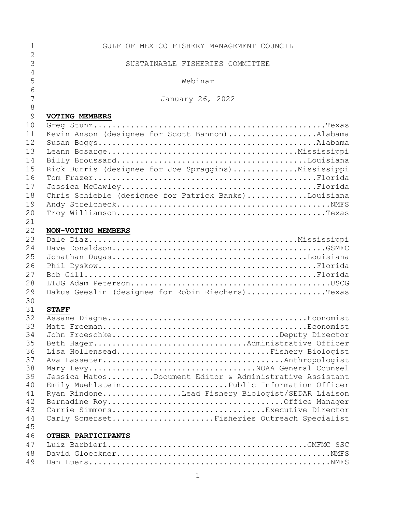| $\mathbf 1$    | GULF OF MEXICO FISHERY MANAGEMENT COUNCIL               |
|----------------|---------------------------------------------------------|
| $\overline{2}$ |                                                         |
| 3              | SUSTAINABLE FISHERIES COMMITTEE                         |
| $\sqrt{4}$     |                                                         |
| 5              | Webinar                                                 |
| 6              |                                                         |
| $\overline{7}$ | January 26, 2022                                        |
| $\,8\,$        |                                                         |
| 9              | <b>VOTING MEMBERS</b>                                   |
| 10             |                                                         |
| 11             | Kevin Anson (designee for Scott Bannon)Alabama          |
| 12             |                                                         |
| 13             |                                                         |
| 14             |                                                         |
| 15             | Rick Burris (designee for Joe Spraggins)Mississippi     |
| 16             |                                                         |
| 17             |                                                         |
| 18             | Chris Schieble (designee for Patrick Banks)Louisiana    |
| 19             |                                                         |
| 20             |                                                         |
| 21             |                                                         |
| 22             | NON-VOTING MEMBERS                                      |
| 23             |                                                         |
| 24             |                                                         |
| 25             |                                                         |
| 26             |                                                         |
| 27             |                                                         |
| 28             |                                                         |
| 29             | Dakus Geeslin (designee for Robin Riechers)Texas        |
| 30             |                                                         |
| 31             | <b>STAFF</b>                                            |
| 32             |                                                         |
| 33             |                                                         |
| 34             | John FroeschkeDeputy Director                           |
| 35             | Beth HagerAdministrative Officer                        |
| 36             | Lisa HollenseadFishery Biologist                        |
| 37             |                                                         |
| 38             | Mary LevyNOAA General Counsel                           |
| 39             | Jessica MatosDocument Editor & Administrative Assistant |
| 40             | Emily MuehlsteinPublic Information Officer              |
| 41             | Ryan RindoneLead Fishery Biologist/SEDAR Liaison        |
| 42             |                                                         |
| 43             | Carrie SimmonsExecutive Director                        |
| 44             | Carly SomersetFisheries Outreach Specialist             |
| 45             |                                                         |
| 46             | OTHER PARTICIPANTS                                      |
| 47             |                                                         |
| 48             |                                                         |
| 49             |                                                         |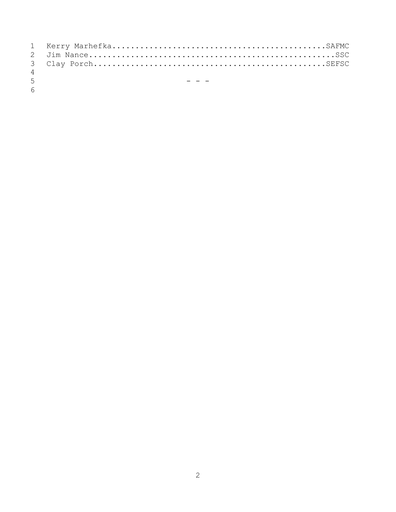| 4 |  |
|---|--|
|   |  |

 $\frac{5}{6}$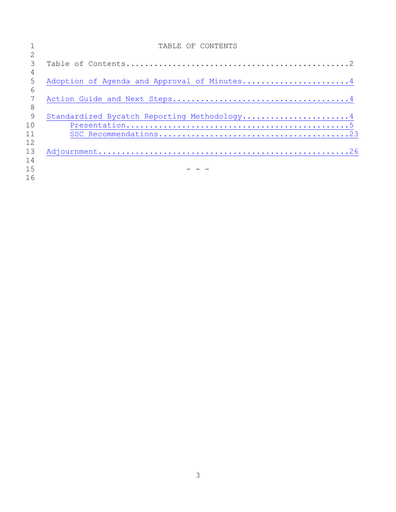|    | TABLE OF CONTENTS                           |
|----|---------------------------------------------|
|    |                                             |
| 3  |                                             |
| 4  |                                             |
| 5  | Adoption of Agenda and Approval of Minutes4 |
| 6  |                                             |
|    |                                             |
| 8  |                                             |
| 9  | Standardized Bycatch Reporting Methodology4 |
| 10 |                                             |
| 11 |                                             |
| 12 |                                             |
| 13 |                                             |
| 14 |                                             |
| 15 |                                             |
| 16 |                                             |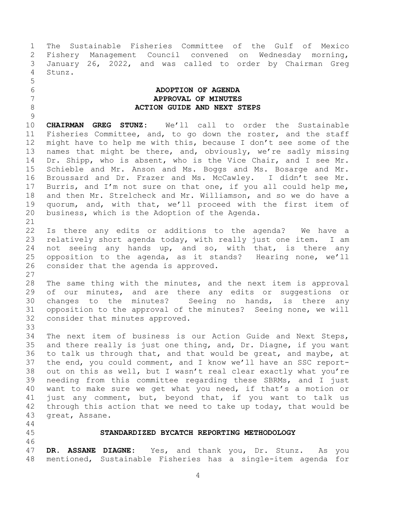The Sustainable Fisheries Committee of the Gulf of Mexico Fishery Management Council convened on Wednesday morning, January 26, 2022, and was called to order by Chairman Greg Stunz.

## <span id="page-3-0"></span> **ADOPTION OF AGENDA APPROVAL OF MINUTES ACTION GUIDE AND NEXT STEPS**

 **CHAIRMAN GREG STUNZ:** We'll call to order the Sustainable Fisheries Committee, and, to go down the roster, and the staff might have to help me with this, because I don't see some of the names that might be there, and, obviously, we're sadly missing Dr. Shipp, who is absent, who is the Vice Chair, and I see Mr. Schieble and Mr. Anson and Ms. Boggs and Ms. Bosarge and Mr. Broussard and Dr. Frazer and Ms. McCawley. I didn't see Mr. Burris, and I'm not sure on that one, if you all could help me, and then Mr. Strelcheck and Mr. Williamson, and so we do have a quorum, and, with that, we'll proceed with the first item of business, which is the Adoption of the Agenda.

 Is there any edits or additions to the agenda? We have a relatively short agenda today, with really just one item. I am 24 not seeing any hands up, and so, with that, is there any opposition to the agenda, as it stands? Hearing none, we'll consider that the agenda is approved.

 The same thing with the minutes, and the next item is approval 29 of our minutes, and are there any edits or suggestions or changes to the minutes? Seeing no hands, is there any opposition to the approval of the minutes? Seeing none, we will consider that minutes approved. 

 The next item of business is our Action Guide and Next Steps, and there really is just one thing, and, Dr. Diagne, if you want to talk us through that, and that would be great, and maybe, at the end, you could comment, and I know we'll have an SSC report- out on this as well, but I wasn't real clear exactly what you're needing from this committee regarding these SBRMs, and I just want to make sure we get what you need, if that's a motion or just any comment, but, beyond that, if you want to talk us through this action that we need to take up today, that would be great, Assane.

<span id="page-3-1"></span>

<span id="page-3-2"></span>**STANDARDIZED BYCATCH REPORTING METHODOLOGY**

 **DR. ASSANE DIAGNE:** Yes, and thank you, Dr. Stunz. As you mentioned, Sustainable Fisheries has a single-item agenda for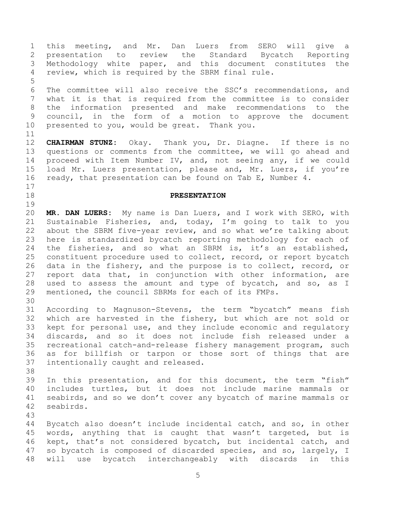The committee will also receive the SSC's recommendations, and what it is that is required from the committee is to consider the information presented and make recommendations to the council, in the form of a motion to approve the document presented to you, would be great. Thank you. **CHAIRMAN STUNZ:** Okay. Thank you, Dr. Diagne. If there is no questions or comments from the committee, we will go ahead and proceed with Item Number IV, and, not seeing any, if we could load Mr. Luers presentation, please and, Mr. Luers, if you're ready, that presentation can be found on Tab E, Number 4. **PRESENTATION MR. DAN LUERS:** My name is Dan Luers, and I work with SERO, with Sustainable Fisheries, and, today, I'm going to talk to you about the SBRM five-year review, and so what we're talking about here is standardized bycatch reporting methodology for each of the fisheries, and so what an SBRM is, it's an established, constituent procedure used to collect, record, or report bycatch data in the fishery, and the purpose is to collect, record, or report data that, in conjunction with other information, are used to assess the amount and type of bycatch, and so, as I mentioned, the council SBRMs for each of its FMPs. According to Magnuson-Stevens, the term "bycatch" means fish which are harvested in the fishery, but which are not sold or kept for personal use, and they include economic and regulatory discards, and so it does not include fish released under a recreational catch-and-release fishery management program, such as for billfish or tarpon or those sort of things that are intentionally caught and released. In this presentation, and for this document, the term "fish" includes turtles, but it does not include marine mammals or seabirds, and so we don't cover any bycatch of marine mammals or seabirds. Bycatch also doesn't include incidental catch, and so, in other words, anything that is caught that wasn't targeted, but is kept, that's not considered bycatch, but incidental catch, and so bycatch is composed of discarded species, and so, largely, I will use bycatch interchangeably with discards in this

 this meeting, and Mr. Dan Luers from SERO will give a presentation to review the Standard Bycatch Reporting Methodology white paper, and this document constitutes the

review, which is required by the SBRM final rule.

<span id="page-4-0"></span>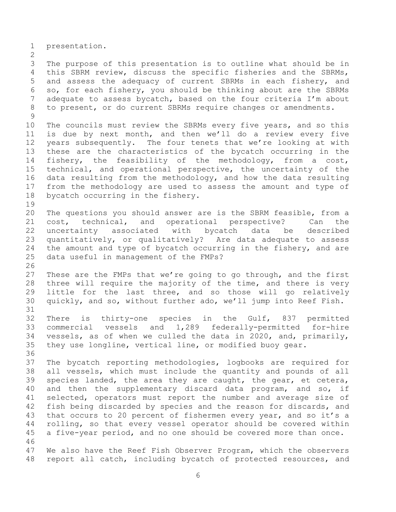presentation.

 The purpose of this presentation is to outline what should be in this SBRM review, discuss the specific fisheries and the SBRMs, and assess the adequacy of current SBRMs in each fishery, and so, for each fishery, you should be thinking about are the SBRMs adequate to assess bycatch, based on the four criteria I'm about to present, or do current SBRMs require changes or amendments. 

 The councils must review the SBRMs every five years, and so this is due by next month, and then we'll do a review every five years subsequently. The four tenets that we're looking at with these are the characteristics of the bycatch occurring in the fishery, the feasibility of the methodology, from a cost, technical, and operational perspective, the uncertainty of the data resulting from the methodology, and how the data resulting from the methodology are used to assess the amount and type of bycatch occurring in the fishery. 

 The questions you should answer are is the SBRM feasible, from a cost, technical, and operational perspective? Can the uncertainty associated with bycatch data be described quantitatively, or qualitatively? Are data adequate to assess 24 the amount and type of bycatch occurring in the fishery, and are data useful in management of the FMPs?

 These are the FMPs that we're going to go through, and the first three will require the majority of the time, and there is very little for the last three, and so those will go relatively quickly, and so, without further ado, we'll jump into Reef Fish. 

 There is thirty-one species in the Gulf, 837 permitted commercial vessels and 1,289 federally-permitted for-hire vessels, as of when we culled the data in 2020, and, primarily, they use longline, vertical line, or modified buoy gear.

 The bycatch reporting methodologies, logbooks are required for all vessels, which must include the quantity and pounds of all species landed, the area they are caught, the gear, et cetera, and then the supplementary discard data program, and so, if selected, operators must report the number and average size of fish being discarded by species and the reason for discards, and 43 that occurs to 20 percent of fishermen every year, and so it's a rolling, so that every vessel operator should be covered within a five-year period, and no one should be covered more than once. 

 We also have the Reef Fish Observer Program, which the observers report all catch, including bycatch of protected resources, and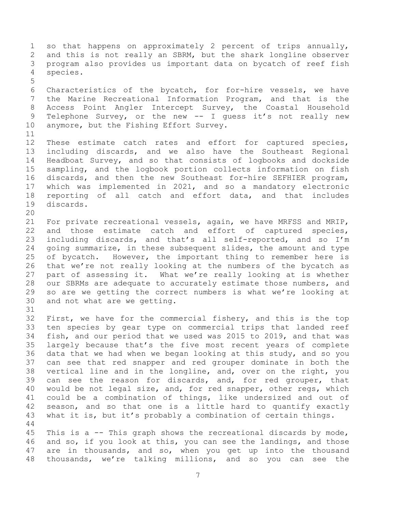so that happens on approximately 2 percent of trips annually, and this is not really an SBRM, but the shark longline observer program also provides us important data on bycatch of reef fish species. Characteristics of the bycatch, for for-hire vessels, we have the Marine Recreational Information Program, and that is the Access Point Angler Intercept Survey, the Coastal Household 9 Telephone Survey, or the new -- I guess it's not really new anymore, but the Fishing Effort Survey. These estimate catch rates and effort for captured species, including discards, and we also have the Southeast Regional Headboat Survey, and so that consists of logbooks and dockside sampling, and the logbook portion collects information on fish discards, and then the new Southeast for-hire SEFHIER program, which was implemented in 2021, and so a mandatory electronic reporting of all catch and effort data, and that includes discards. For private recreational vessels, again, we have MRFSS and MRIP, and those estimate catch and effort of captured species, including discards, and that's all self-reported, and so I'm going summarize, in these subsequent slides, the amount and type of bycatch. However, the important thing to remember here is that we're not really looking at the numbers of the bycatch as part of assessing it. What we're really looking at is whether our SBRMs are adequate to accurately estimate those numbers, and so are we getting the correct numbers is what we're looking at and not what are we getting. First, we have for the commercial fishery, and this is the top ten species by gear type on commercial trips that landed reef fish, and our period that we used was 2015 to 2019, and that was largely because that's the five most recent years of complete data that we had when we began looking at this study, and so you can see that red snapper and red grouper dominate in both the vertical line and in the longline, and, over on the right, you can see the reason for discards, and, for red grouper, that would be not legal size, and, for red snapper, other regs, which could be a combination of things, like undersized and out of season, and so that one is a little hard to quantify exactly what it is, but it's probably a combination of certain things. This is a -- This graph shows the recreational discards by mode, and so, if you look at this, you can see the landings, and those are in thousands, and so, when you get up into the thousand

thousands, we're talking millions, and so you can see the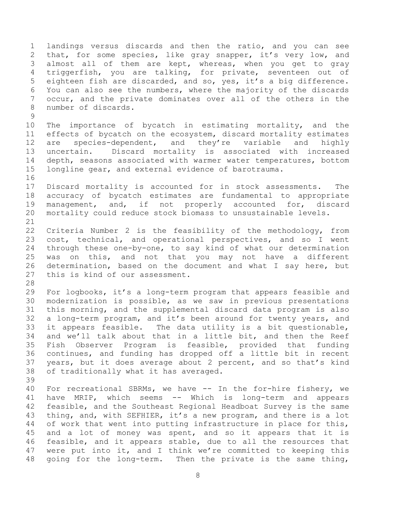landings versus discards and then the ratio, and you can see 2 that, for some species, like gray snapper, it's very low, and almost all of them are kept, whereas, when you get to gray triggerfish, you are talking, for private, seventeen out of eighteen fish are discarded, and so, yes, it's a big difference. You can also see the numbers, where the majority of the discards occur, and the private dominates over all of the others in the number of discards. 

 The importance of bycatch in estimating mortality, and the effects of bycatch on the ecosystem, discard mortality estimates are species-dependent, and they're variable and highly uncertain. Discard mortality is associated with increased depth, seasons associated with warmer water temperatures, bottom longline gear, and external evidence of barotrauma.

 Discard mortality is accounted for in stock assessments. The accuracy of bycatch estimates are fundamental to appropriate management, and, if not properly accounted for, discard mortality could reduce stock biomass to unsustainable levels. 

 Criteria Number 2 is the feasibility of the methodology, from cost, technical, and operational perspectives, and so I went through these one-by-one, to say kind of what our determination was on this, and not that you may not have a different determination, based on the document and what I say here, but this is kind of our assessment.

 For logbooks, it's a long-term program that appears feasible and modernization is possible, as we saw in previous presentations this morning, and the supplemental discard data program is also a long-term program, and it's been around for twenty years, and it appears feasible. The data utility is a bit questionable, and we'll talk about that in a little bit, and then the Reef Fish Observer Program is feasible, provided that funding continues, and funding has dropped off a little bit in recent years, but it does average about 2 percent, and so that's kind of traditionally what it has averaged.

 For recreational SBRMs, we have -- In the for-hire fishery, we have MRIP, which seems -- Which is long-term and appears feasible, and the Southeast Regional Headboat Survey is the same thing, and, with SEFHIER, it's a new program, and there is a lot of work that went into putting infrastructure in place for this, and a lot of money was spent, and so it appears that it is feasible, and it appears stable, due to all the resources that were put into it, and I think we're committed to keeping this going for the long-term. Then the private is the same thing,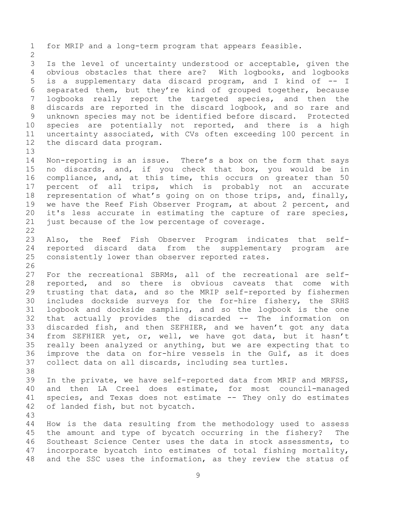for MRIP and a long-term program that appears feasible. Is the level of uncertainty understood or acceptable, given the obvious obstacles that there are? With logbooks, and logbooks is a supplementary data discard program, and I kind of -- I separated them, but they're kind of grouped together, because logbooks really report the targeted species, and then the discards are reported in the discard logbook, and so rare and unknown species may not be identified before discard. Protected species are potentially not reported, and there is a high uncertainty associated, with CVs often exceeding 100 percent in the discard data program. Non-reporting is an issue. There's a box on the form that says no discards, and, if you check that box, you would be in compliance, and, at this time, this occurs on greater than 50 percent of all trips, which is probably not an accurate representation of what's going on on those trips, and, finally, we have the Reef Fish Observer Program, at about 2 percent, and it's less accurate in estimating the capture of rare species, just because of the low percentage of coverage. Also, the Reef Fish Observer Program indicates that self- reported discard data from the supplementary program are consistently lower than observer reported rates. For the recreational SBRMs, all of the recreational are self- reported, and so there is obvious caveats that come with trusting that data, and so the MRIP self-reported by fishermen includes dockside surveys for the for-hire fishery, the SRHS logbook and dockside sampling, and so the logbook is the one that actually provides the discarded -- The information on discarded fish, and then SEFHIER, and we haven't got any data from SEFHIER yet, or, well, we have got data, but it hasn't really been analyzed or anything, but we are expecting that to improve the data on for-hire vessels in the Gulf, as it does collect data on all discards, including sea turtles. In the private, we have self-reported data from MRIP and MRFSS, and then LA Creel does estimate, for most council-managed species, and Texas does not estimate -- They only do estimates of landed fish, but not bycatch. How is the data resulting from the methodology used to assess the amount and type of bycatch occurring in the fishery? The Southeast Science Center uses the data in stock assessments, to incorporate bycatch into estimates of total fishing mortality, and the SSC uses the information, as they review the status of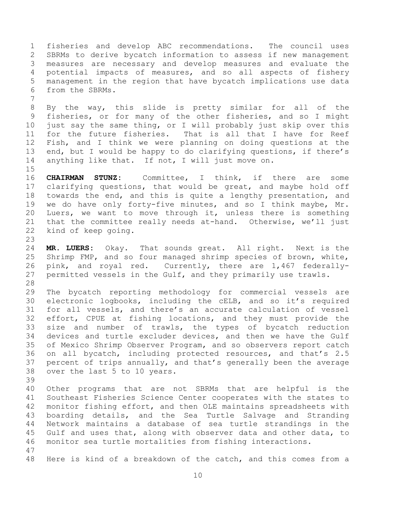fisheries and develop ABC recommendations. The council uses SBRMs to derive bycatch information to assess if new management measures are necessary and develop measures and evaluate the potential impacts of measures, and so all aspects of fishery management in the region that have bycatch implications use data from the SBRMs. 

 By the way, this slide is pretty similar for all of the fisheries, or for many of the other fisheries, and so I might just say the same thing, or I will probably just skip over this for the future fisheries. That is all that I have for Reef Fish, and I think we were planning on doing questions at the end, but I would be happy to do clarifying questions, if there's anything like that. If not, I will just move on.

 **CHAIRMAN STUNZ:** Committee, I think, if there are some clarifying questions, that would be great, and maybe hold off towards the end, and this is quite a lengthy presentation, and we do have only forty-five minutes, and so I think maybe, Mr. Luers, we want to move through it, unless there is something that the committee really needs at-hand. Otherwise, we'll just kind of keep going.

 **MR. LUERS:** Okay. That sounds great. All right. Next is the Shrimp FMP, and so four managed shrimp species of brown, white, pink, and royal red. Currently, there are 1,467 federally- permitted vessels in the Gulf, and they primarily use trawls. 

 The bycatch reporting methodology for commercial vessels are electronic logbooks, including the cELB, and so it's required for all vessels, and there's an accurate calculation of vessel effort, CPUE at fishing locations, and they must provide the size and number of trawls, the types of bycatch reduction devices and turtle excluder devices, and then we have the Gulf of Mexico Shrimp Observer Program, and so observers report catch on all bycatch, including protected resources, and that's 2.5 percent of trips annually, and that's generally been the average over the last 5 to 10 years.

 Other programs that are not SBRMs that are helpful is the Southeast Fisheries Science Center cooperates with the states to monitor fishing effort, and then OLE maintains spreadsheets with boarding details, and the Sea Turtle Salvage and Stranding Network maintains a database of sea turtle strandings in the Gulf and uses that, along with observer data and other data, to monitor sea turtle mortalities from fishing interactions. 

Here is kind of a breakdown of the catch, and this comes from a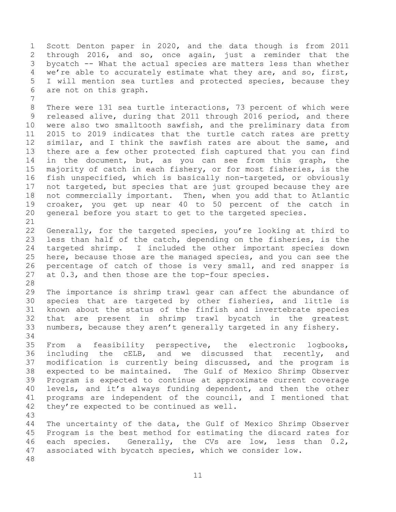Scott Denton paper in 2020, and the data though is from 2011 through 2016, and so, once again, just a reminder that the bycatch -- What the actual species are matters less than whether we're able to accurately estimate what they are, and so, first, I will mention sea turtles and protected species, because they are not on this graph.

 There were 131 sea turtle interactions, 73 percent of which were released alive, during that 2011 through 2016 period, and there were also two smalltooth sawfish, and the preliminary data from 2015 to 2019 indicates that the turtle catch rates are pretty similar, and I think the sawfish rates are about the same, and there are a few other protected fish captured that you can find in the document, but, as you can see from this graph, the majority of catch in each fishery, or for most fisheries, is the fish unspecified, which is basically non-targeted, or obviously not targeted, but species that are just grouped because they are not commercially important. Then, when you add that to Atlantic croaker, you get up near 40 to 50 percent of the catch in general before you start to get to the targeted species. 

 Generally, for the targeted species, you're looking at third to less than half of the catch, depending on the fisheries, is the targeted shrimp. I included the other important species down here, because those are the managed species, and you can see the percentage of catch of those is very small, and red snapper is at 0.3, and then those are the top-four species.

 The importance is shrimp trawl gear can affect the abundance of species that are targeted by other fisheries, and little is known about the status of the finfish and invertebrate species that are present in shrimp trawl bycatch in the greatest numbers, because they aren't generally targeted in any fishery. 

 From a feasibility perspective, the electronic logbooks, including the cELB, and we discussed that recently, and modification is currently being discussed, and the program is expected to be maintained. The Gulf of Mexico Shrimp Observer Program is expected to continue at approximate current coverage levels, and it's always funding dependent, and then the other programs are independent of the council, and I mentioned that they're expected to be continued as well.

 The uncertainty of the data, the Gulf of Mexico Shrimp Observer Program is the best method for estimating the discard rates for each species. Generally, the CVs are low, less than 0.2, associated with bycatch species, which we consider low.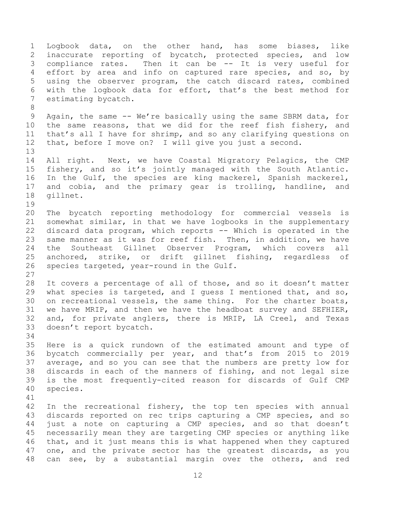Logbook data, on the other hand, has some biases, like inaccurate reporting of bycatch, protected species, and low compliance rates. Then it can be -- It is very useful for effort by area and info on captured rare species, and so, by using the observer program, the catch discard rates, combined with the logbook data for effort, that's the best method for estimating bycatch. Again, the same -- We're basically using the same SBRM data, for the same reasons, that we did for the reef fish fishery, and that's all I have for shrimp, and so any clarifying questions on that, before I move on? I will give you just a second. All right. Next, we have Coastal Migratory Pelagics, the CMP fishery, and so it's jointly managed with the South Atlantic. In the Gulf, the species are king mackerel, Spanish mackerel, and cobia, and the primary gear is trolling, handline, and gillnet. The bycatch reporting methodology for commercial vessels is somewhat similar, in that we have logbooks in the supplementary discard data program, which reports -- Which is operated in the same manner as it was for reef fish. Then, in addition, we have the Southeast Gillnet Observer Program, which covers all anchored, strike, or drift gillnet fishing, regardless of species targeted, year-round in the Gulf. It covers a percentage of all of those, and so it doesn't matter what species is targeted, and I guess I mentioned that, and so, on recreational vessels, the same thing. For the charter boats, we have MRIP, and then we have the headboat survey and SEFHIER, and, for private anglers, there is MRIP, LA Creel, and Texas doesn't report bycatch. Here is a quick rundown of the estimated amount and type of bycatch commercially per year, and that's from 2015 to 2019 average, and so you can see that the numbers are pretty low for discards in each of the manners of fishing, and not legal size is the most frequently-cited reason for discards of Gulf CMP species. In the recreational fishery, the top ten species with annual discards reported on rec trips capturing a CMP species, and so just a note on capturing a CMP species, and so that doesn't necessarily mean they are targeting CMP species or anything like that, and it just means this is what happened when they captured one, and the private sector has the greatest discards, as you can see, by a substantial margin over the others, and red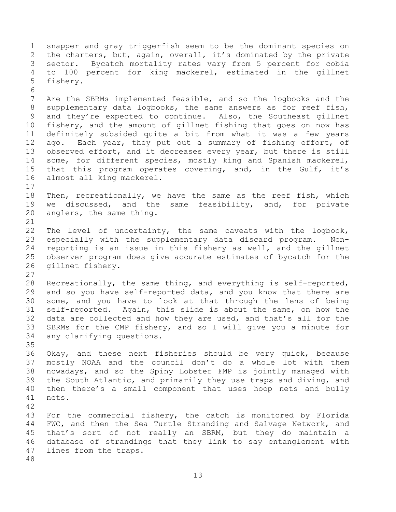snapper and gray triggerfish seem to be the dominant species on the charters, but, again, overall, it's dominated by the private sector. Bycatch mortality rates vary from 5 percent for cobia to 100 percent for king mackerel, estimated in the gillnet fishery. Are the SBRMs implemented feasible, and so the logbooks and the supplementary data logbooks, the same answers as for reef fish, and they're expected to continue. Also, the Southeast gillnet fishery, and the amount of gillnet fishing that goes on now has definitely subsided quite a bit from what it was a few years 12 ago. Each year, they put out a summary of fishing effort, of observed effort, and it decreases every year, but there is still some, for different species, mostly king and Spanish mackerel, that this program operates covering, and, in the Gulf, it's almost all king mackerel. Then, recreationally, we have the same as the reef fish, which we discussed, and the same feasibility, and, for private anglers, the same thing. The level of uncertainty, the same caveats with the logbook, especially with the supplementary data discard program. Non- reporting is an issue in this fishery as well, and the gillnet observer program does give accurate estimates of bycatch for the gillnet fishery. Recreationally, the same thing, and everything is self-reported, and so you have self-reported data, and you know that there are some, and you have to look at that through the lens of being self-reported. Again, this slide is about the same, on how the data are collected and how they are used, and that's all for the SBRMs for the CMP fishery, and so I will give you a minute for any clarifying questions. Okay, and these next fisheries should be very quick, because mostly NOAA and the council don't do a whole lot with them nowadays, and so the Spiny Lobster FMP is jointly managed with the South Atlantic, and primarily they use traps and diving, and then there's a small component that uses hoop nets and bully nets. For the commercial fishery, the catch is monitored by Florida FWC, and then the Sea Turtle Stranding and Salvage Network, and that's sort of not really an SBRM, but they do maintain a database of strandings that they link to say entanglement with lines from the traps.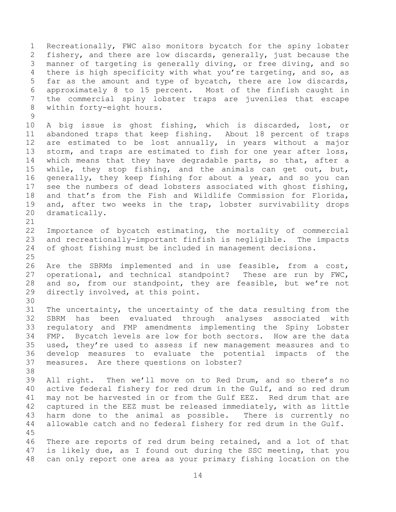Recreationally, FWC also monitors bycatch for the spiny lobster fishery, and there are low discards, generally, just because the manner of targeting is generally diving, or free diving, and so there is high specificity with what you're targeting, and so, as far as the amount and type of bycatch, there are low discards, approximately 8 to 15 percent. Most of the finfish caught in the commercial spiny lobster traps are juveniles that escape within forty-eight hours. 

 A big issue is ghost fishing, which is discarded, lost, or abandoned traps that keep fishing. About 18 percent of traps are estimated to be lost annually, in years without a major 13 storm, and traps are estimated to fish for one year after loss, 14 which means that they have degradable parts, so that, after a while, they stop fishing, and the animals can get out, but, generally, they keep fishing for about a year, and so you can see the numbers of dead lobsters associated with ghost fishing, and that's from the Fish and Wildlife Commission for Florida, and, after two weeks in the trap, lobster survivability drops dramatically.

 Importance of bycatch estimating, the mortality of commercial and recreationally-important finfish is negligible. The impacts of ghost fishing must be included in management decisions.

 Are the SBRMs implemented and in use feasible, from a cost, operational, and technical standpoint? These are run by FWC, and so, from our standpoint, they are feasible, but we're not directly involved, at this point.

 The uncertainty, the uncertainty of the data resulting from the SBRM has been evaluated through analyses associated with regulatory and FMP amendments implementing the Spiny Lobster FMP. Bycatch levels are low for both sectors. How are the data used, they're used to assess if new management measures and to develop measures to evaluate the potential impacts of the measures. Are there questions on lobster?

 All right. Then we'll move on to Red Drum, and so there's no active federal fishery for red drum in the Gulf, and so red drum may not be harvested in or from the Gulf EEZ. Red drum that are captured in the EEZ must be released immediately, with as little harm done to the animal as possible. There is currently no allowable catch and no federal fishery for red drum in the Gulf. 

 There are reports of red drum being retained, and a lot of that is likely due, as I found out during the SSC meeting, that you can only report one area as your primary fishing location on the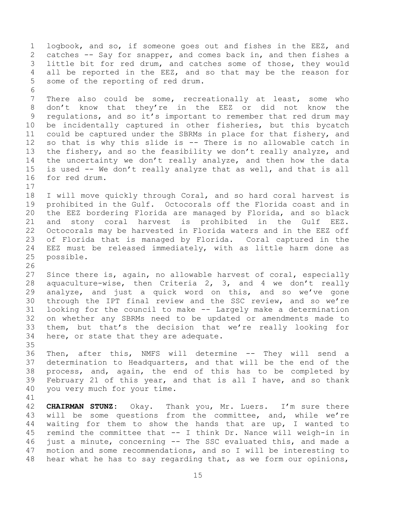logbook, and so, if someone goes out and fishes in the EEZ, and catches -- Say for snapper, and comes back in, and then fishes a little bit for red drum, and catches some of those, they would all be reported in the EEZ, and so that may be the reason for some of the reporting of red drum. There also could be some, recreationally at least, some who don't know that they're in the EEZ or did not know the regulations, and so it's important to remember that red drum may be incidentally captured in other fisheries, but this bycatch could be captured under the SBRMs in place for that fishery, and so that is why this slide is -- There is no allowable catch in the fishery, and so the feasibility we don't really analyze, and the uncertainty we don't really analyze, and then how the data is used -- We don't really analyze that as well, and that is all for red drum. I will move quickly through Coral, and so hard coral harvest is prohibited in the Gulf. Octocorals off the Florida coast and in the EEZ bordering Florida are managed by Florida, and so black and stony coral harvest is prohibited in the Gulf EEZ. Octocorals may be harvested in Florida waters and in the EEZ off of Florida that is managed by Florida. Coral captured in the EEZ must be released immediately, with as little harm done as possible. Since there is, again, no allowable harvest of coral, especially aquaculture-wise, then Criteria 2, 3, and 4 we don't really analyze, and just a quick word on this, and so we've gone through the IPT final review and the SSC review, and so we're looking for the council to make -- Largely make a determination on whether any SBRMs need to be updated or amendments made to them, but that's the decision that we're really looking for here, or state that they are adequate. Then, after this, NMFS will determine -- They will send a determination to Headquarters, and that will be the end of the process, and, again, the end of this has to be completed by February 21 of this year, and that is all I have, and so thank you very much for your time. **CHAIRMAN STUNZ:** Okay. Thank you, Mr. Luers. I'm sure there will be some questions from the committee, and, while we're waiting for them to show the hands that are up, I wanted to remind the committee that -- I think Dr. Nance will weigh-in in just a minute, concerning -- The SSC evaluated this, and made a motion and some recommendations, and so I will be interesting to hear what he has to say regarding that, as we form our opinions,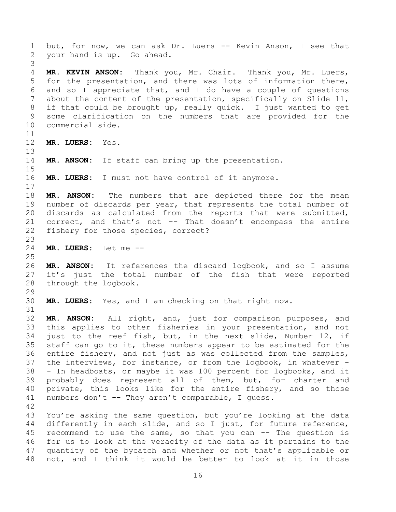1 but, for now, we can ask Dr. Luers -- Kevin Anson, I see that your hand is up. Go ahead. **MR. KEVIN ANSON:** Thank you, Mr. Chair. Thank you, Mr. Luers, for the presentation, and there was lots of information there, and so I appreciate that, and I do have a couple of questions about the content of the presentation, specifically on Slide 11, if that could be brought up, really quick. I just wanted to get some clarification on the numbers that are provided for the commercial side. **MR. LUERS:** Yes. **MR. ANSON:** If staff can bring up the presentation. **MR. LUERS:** I must not have control of it anymore. **MR. ANSON:** The numbers that are depicted there for the mean number of discards per year, that represents the total number of discards as calculated from the reports that were submitted, correct, and that's not -- That doesn't encompass the entire fishery for those species, correct? **MR. LUERS:** Let me -- **MR. ANSON:** It references the discard logbook, and so I assume it's just the total number of the fish that were reported through the logbook. **MR. LUERS:** Yes, and I am checking on that right now. **MR. ANSON:** All right, and, just for comparison purposes, and this applies to other fisheries in your presentation, and not just to the reef fish, but, in the next slide, Number 12, if staff can go to it, these numbers appear to be estimated for the entire fishery, and not just as was collected from the samples, the interviews, for instance, or from the logbook, in whatever - - In headboats, or maybe it was 100 percent for logbooks, and it probably does represent all of them, but, for charter and private, this looks like for the entire fishery, and so those numbers don't -- They aren't comparable, I guess. You're asking the same question, but you're looking at the data differently in each slide, and so I just, for future reference, recommend to use the same, so that you can -- The question is for us to look at the veracity of the data as it pertains to the quantity of the bycatch and whether or not that's applicable or not, and I think it would be better to look at it in those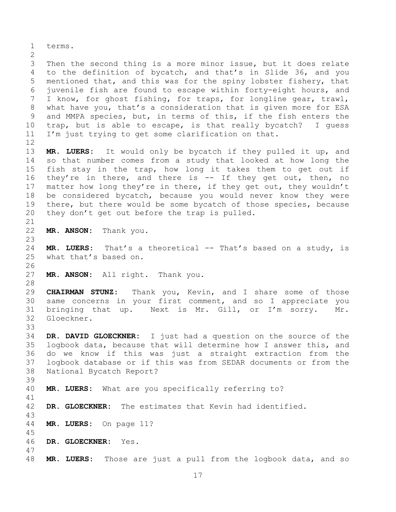terms. Then the second thing is a more minor issue, but it does relate to the definition of bycatch, and that's in Slide 36, and you mentioned that, and this was for the spiny lobster fishery, that juvenile fish are found to escape within forty-eight hours, and I know, for ghost fishing, for traps, for longline gear, trawl, what have you, that's a consideration that is given more for ESA and MMPA species, but, in terms of this, if the fish enters the trap, but is able to escape, is that really bycatch? I guess I'm just trying to get some clarification on that. **MR. LUERS:** It would only be bycatch if they pulled it up, and so that number comes from a study that looked at how long the fish stay in the trap, how long it takes them to get out if 16 they're in there, and there is -- If they get out, then, no 17 matter how long they're in there, if they get out, they wouldn't be considered bycatch, because you would never know they were there, but there would be some bycatch of those species, because they don't get out before the trap is pulled. **MR. ANSON:** Thank you. **MR. LUERS:** That's a theoretical -- That's based on a study, is what that's based on. **MR. ANSON:** All right. Thank you. **CHAIRMAN STUNZ:** Thank you, Kevin, and I share some of those same concerns in your first comment, and so I appreciate you bringing that up. Next is Mr. Gill, or I'm sorry. Mr. Gloeckner. **DR. DAVID GLOECKNER:** I just had a question on the source of the logbook data, because that will determine how I answer this, and do we know if this was just a straight extraction from the logbook database or if this was from SEDAR documents or from the National Bycatch Report? **MR. LUERS:** What are you specifically referring to? **DR. GLOECKNER:** The estimates that Kevin had identified. **MR. LUERS:** On page 11? **DR. GLOECKNER:** Yes. **MR. LUERS:** Those are just a pull from the logbook data, and so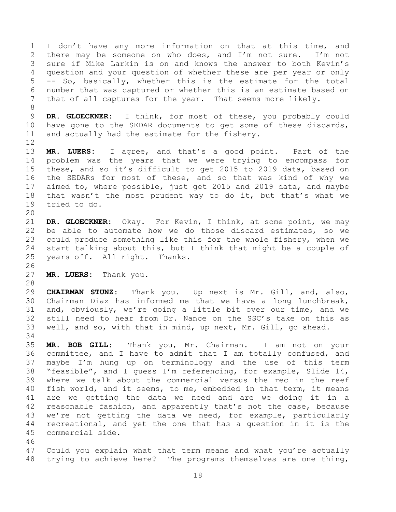1 I don't have any more information on that at this time, and there may be someone on who does, and I'm not sure. I'm not sure if Mike Larkin is on and knows the answer to both Kevin's question and your question of whether these are per year or only -- So, basically, whether this is the estimate for the total number that was captured or whether this is an estimate based on that of all captures for the year. That seems more likely. 

 **DR. GLOECKNER:** I think, for most of these, you probably could have gone to the SEDAR documents to get some of these discards, and actually had the estimate for the fishery.

 **MR. LUERS:** I agree, and that's a good point. Part of the problem was the years that we were trying to encompass for these, and so it's difficult to get 2015 to 2019 data, based on the SEDARs for most of these, and so that was kind of why we aimed to, where possible, just get 2015 and 2019 data, and maybe that wasn't the most prudent way to do it, but that's what we tried to do.

 **DR. GLOECKNER:** Okay. For Kevin, I think, at some point, we may be able to automate how we do those discard estimates, so we could produce something like this for the whole fishery, when we start talking about this, but I think that might be a couple of years off. All right. Thanks.

**MR. LUERS:** Thank you.

 **CHAIRMAN STUNZ:** Thank you. Up next is Mr. Gill, and, also, Chairman Diaz has informed me that we have a long lunchbreak, and, obviously, we're going a little bit over our time, and we still need to hear from Dr. Nance on the SSC's take on this as well, and so, with that in mind, up next, Mr. Gill, go ahead.

 **MR. BOB GILL:** Thank you, Mr. Chairman. I am not on your committee, and I have to admit that I am totally confused, and maybe I'm hung up on terminology and the use of this term "feasible", and I guess I'm referencing, for example, Slide 14, where we talk about the commercial versus the rec in the reef fish world, and it seems, to me, embedded in that term, it means are we getting the data we need and are we doing it in a reasonable fashion, and apparently that's not the case, because we're not getting the data we need, for example, particularly recreational, and yet the one that has a question in it is the commercial side.

 Could you explain what that term means and what you're actually trying to achieve here? The programs themselves are one thing,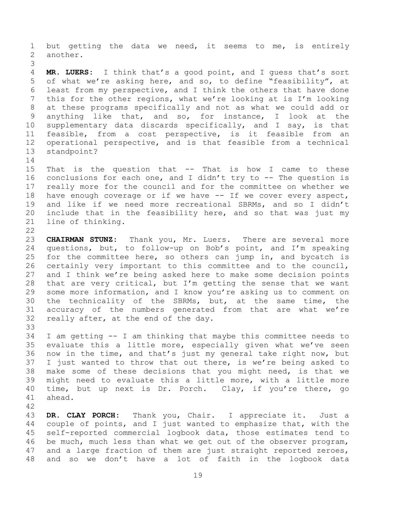but getting the data we need, it seems to me, is entirely another. 

 **MR. LUERS:** I think that's a good point, and I guess that's sort of what we're asking here, and so, to define "feasibility", at least from my perspective, and I think the others that have done this for the other regions, what we're looking at is I'm looking at these programs specifically and not as what we could add or anything like that, and so, for instance, I look at the supplementary data discards specifically, and I say, is that feasible, from a cost perspective, is it feasible from an operational perspective, and is that feasible from a technical standpoint? 

- That is the question that -- That is how I came to these conclusions for each one, and I didn't try to -- The question is really more for the council and for the committee on whether we have enough coverage or if we have -- If we cover every aspect, and like if we need more recreational SBRMs, and so I didn't include that in the feasibility here, and so that was just my line of thinking.
- **CHAIRMAN STUNZ:** Thank you, Mr. Luers. There are several more questions, but, to follow-up on Bob's point, and I'm speaking for the committee here, so others can jump in, and bycatch is certainly very important to this committee and to the council, and I think we're being asked here to make some decision points that are very critical, but I'm getting the sense that we want some more information, and I know you're asking us to comment on the technicality of the SBRMs, but, at the same time, the accuracy of the numbers generated from that are what we're really after, at the end of the day.
- I am getting -- I am thinking that maybe this committee needs to evaluate this a little more, especially given what we've seen now in the time, and that's just my general take right now, but I just wanted to throw that out there, is we're being asked to make some of these decisions that you might need, is that we might need to evaluate this a little more, with a little more time, but up next is Dr. Porch. Clay, if you're there, go ahead.
- 

 **DR. CLAY PORCH:** Thank you, Chair. I appreciate it. Just a couple of points, and I just wanted to emphasize that, with the self-reported commercial logbook data, those estimates tend to be much, much less than what we get out of the observer program, and a large fraction of them are just straight reported zeroes, and so we don't have a lot of faith in the logbook data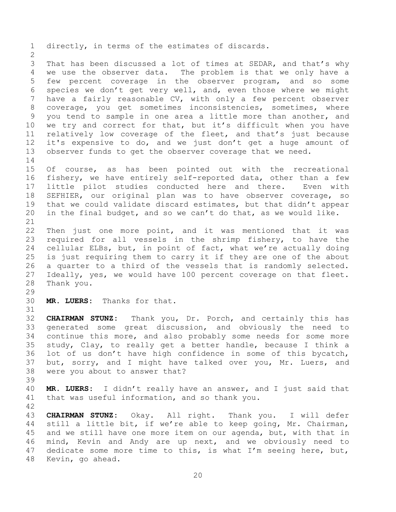directly, in terms of the estimates of discards. That has been discussed a lot of times at SEDAR, and that's why we use the observer data. The problem is that we only have a few percent coverage in the observer program, and so some species we don't get very well, and, even those where we might have a fairly reasonable CV, with only a few percent observer coverage, you get sometimes inconsistencies, sometimes, where you tend to sample in one area a little more than another, and we try and correct for that, but it's difficult when you have relatively low coverage of the fleet, and that's just because it's expensive to do, and we just don't get a huge amount of observer funds to get the observer coverage that we need. Of course, as has been pointed out with the recreational fishery, we have entirely self-reported data, other than a few little pilot studies conducted here and there. Even with SEFHIER, our original plan was to have observer coverage, so that we could validate discard estimates, but that didn't appear in the final budget, and so we can't do that, as we would like. Then just one more point, and it was mentioned that it was required for all vessels in the shrimp fishery, to have the cellular ELBs, but, in point of fact, what we're actually doing is just requiring them to carry it if they are one of the about a quarter to a third of the vessels that is randomly selected. Ideally, yes, we would have 100 percent coverage on that fleet. Thank you. **MR. LUERS:** Thanks for that. **CHAIRMAN STUNZ:** Thank you, Dr. Porch, and certainly this has generated some great discussion, and obviously the need to continue this more, and also probably some needs for some more study, Clay, to really get a better handle, because I think a lot of us don't have high confidence in some of this bycatch, but, sorry, and I might have talked over you, Mr. Luers, and were you about to answer that? **MR. LUERS:** I didn't really have an answer, and I just said that that was useful information, and so thank you. **CHAIRMAN STUNZ:** Okay. All right. Thank you. I will defer still a little bit, if we're able to keep going, Mr. Chairman, and we still have one more item on our agenda, but, with that in mind, Kevin and Andy are up next, and we obviously need to dedicate some more time to this, is what I'm seeing here, but,

Kevin, go ahead.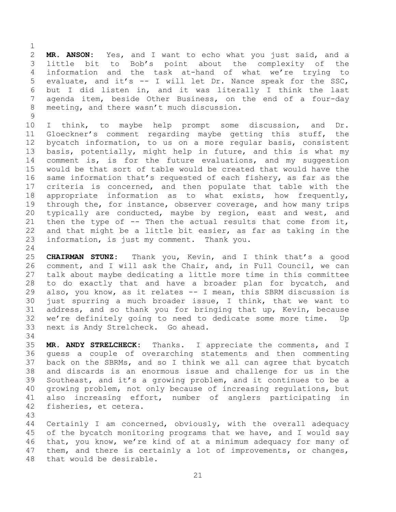**MR. ANSON:** Yes, and I want to echo what you just said, and a little bit to Bob's point about the complexity of the information and the task at-hand of what we're trying to evaluate, and it's -- I will let Dr. Nance speak for the SSC, but I did listen in, and it was literally I think the last agenda item, beside Other Business, on the end of a four-day meeting, and there wasn't much discussion.

 I think, to maybe help prompt some discussion, and Dr. Gloeckner's comment regarding maybe getting this stuff, the bycatch information, to us on a more regular basis, consistent basis, potentially, might help in future, and this is what my 14 comment is, is for the future evaluations, and my suggestion would be that sort of table would be created that would have the same information that's requested of each fishery, as far as the criteria is concerned, and then populate that table with the appropriate information as to what exists, how frequently, through the, for instance, observer coverage, and how many trips typically are conducted, maybe by region, east and west, and 21 then the type of  $-$ - Then the actual results that come from it, and that might be a little bit easier, as far as taking in the information, is just my comment. Thank you.

 **CHAIRMAN STUNZ:** Thank you, Kevin, and I think that's a good comment, and I will ask the Chair, and, in Full Council, we can talk about maybe dedicating a little more time in this committee to do exactly that and have a broader plan for bycatch, and also, you know, as it relates -- I mean, this SBRM discussion is just spurring a much broader issue, I think, that we want to address, and so thank you for bringing that up, Kevin, because we're definitely going to need to dedicate some more time. Up next is Andy Strelcheck. Go ahead.

 **MR. ANDY STRELCHECK:** Thanks. I appreciate the comments, and I guess a couple of overarching statements and then commenting back on the SBRMs, and so I think we all can agree that bycatch and discards is an enormous issue and challenge for us in the Southeast, and it's a growing problem, and it continues to be a growing problem, not only because of increasing regulations, but also increasing effort, number of anglers participating in fisheries, et cetera.

 Certainly I am concerned, obviously, with the overall adequacy 45 of the bycatch monitoring programs that we have, and I would say that, you know, we're kind of at a minimum adequacy for many of them, and there is certainly a lot of improvements, or changes, that would be desirable.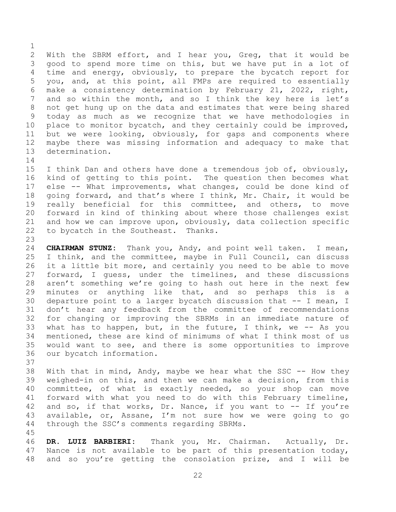With the SBRM effort, and I hear you, Greg, that it would be good to spend more time on this, but we have put in a lot of time and energy, obviously, to prepare the bycatch report for you, and, at this point, all FMPs are required to essentially make a consistency determination by February 21, 2022, right, 7 and so within the month, and so I think the key here is let's not get hung up on the data and estimates that were being shared today as much as we recognize that we have methodologies in place to monitor bycatch, and they certainly could be improved, but we were looking, obviously, for gaps and components where maybe there was missing information and adequacy to make that determination.

 I think Dan and others have done a tremendous job of, obviously, kind of getting to this point. The question then becomes what else -- What improvements, what changes, could be done kind of going forward, and that's where I think, Mr. Chair, it would be really beneficial for this committee, and others, to move forward in kind of thinking about where those challenges exist and how we can improve upon, obviously, data collection specific to bycatch in the Southeast. Thanks. 

 **CHAIRMAN STUNZ:** Thank you, Andy, and point well taken. I mean, I think, and the committee, maybe in Full Council, can discuss it a little bit more, and certainly you need to be able to move forward, I guess, under the timelines, and these discussions aren't something we're going to hash out here in the next few minutes or anything like that, and so perhaps this is a departure point to a larger bycatch discussion that -- I mean, I don't hear any feedback from the committee of recommendations for changing or improving the SBRMs in an immediate nature of what has to happen, but, in the future, I think, we -- As you mentioned, these are kind of minimums of what I think most of us would want to see, and there is some opportunities to improve our bycatch information.

 With that in mind, Andy, maybe we hear what the SSC -- How they weighed-in on this, and then we can make a decision, from this committee, of what is exactly needed, so your shop can move forward with what you need to do with this February timeline, 42 and so, if that works, Dr. Nance, if you want to -- If you're available, or, Assane, I'm not sure how we were going to go through the SSC's comments regarding SBRMs.

 **DR. LUIZ BARBIERI:** Thank you, Mr. Chairman. Actually, Dr. Nance is not available to be part of this presentation today, and so you're getting the consolation prize, and I will be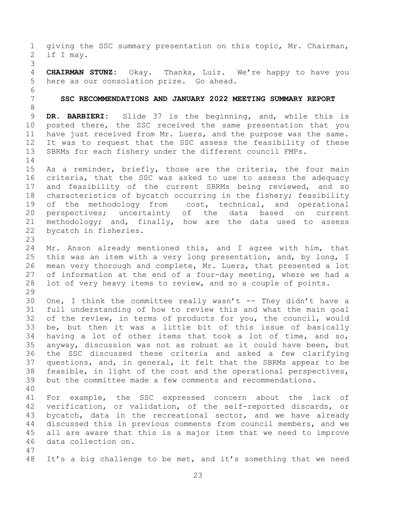<span id="page-22-0"></span> giving the SSC summary presentation on this topic, Mr. Chairman, if I may. **CHAIRMAN STUNZ:** Okay. Thanks, Luiz. We're happy to have you here as our consolation prize. Go ahead. **SSC RECOMMENDATIONS AND JANUARY 2022 MEETING SUMMARY REPORT DR. BARBIERI:** Slide 37 is the beginning, and, while this is posted there, the SSC received the same presentation that you have just received from Mr. Luers, and the purpose was the same. It was to request that the SSC assess the feasibility of these SBRMs for each fishery under the different council FMPs. As a reminder, briefly, those are the criteria, the four main criteria, that the SSC was asked to use to assess the adequacy and feasibility of the current SBRMs being reviewed, and so characteristics of bycatch occurring in the fishery; feasibility 19 of the methodology from cost, technical, and operational perspectives; uncertainty of the data based on current methodology; and, finally, how are the data used to assess bycatch in fisheries. Mr. Anson already mentioned this, and I agree with him, that this was an item with a very long presentation, and, by long, I mean very thorough and complete, Mr. Luers, that presented a lot of information at the end of a four-day meeting, where we had a lot of very heavy items to review, and so a couple of points. One, I think the committee really wasn't -- They didn't have a full understanding of how to review this and what the main goal of the review, in terms of products for you, the council, would be, but then it was a little bit of this issue of basically having a lot of other items that took a lot of time, and so, anyway, discussion was not as robust as it could have been, but the SSC discussed these criteria and asked a few clarifying questions, and, in general, it felt that the SBRMs appear to be feasible, in light of the cost and the operational perspectives, but the committee made a few comments and recommendations. For example, the SSC expressed concern about the lack of verification, or validation, of the self-reported discards, or bycatch, data in the recreational sector, and we have already discussed this in previous comments from council members, and we all are aware that this is a major item that we need to improve data collection on. It's a big challenge to be met, and it's something that we need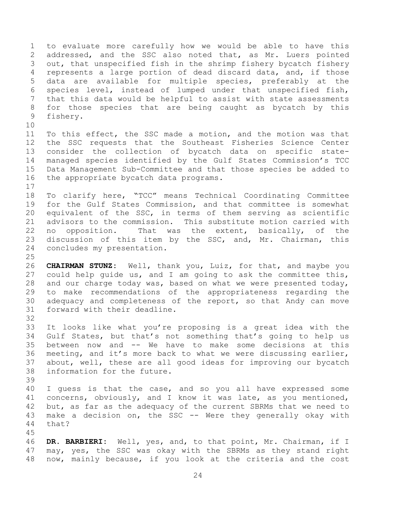to evaluate more carefully how we would be able to have this addressed, and the SSC also noted that, as Mr. Luers pointed out, that unspecified fish in the shrimp fishery bycatch fishery represents a large portion of dead discard data, and, if those data are available for multiple species, preferably at the species level, instead of lumped under that unspecified fish, that this data would be helpful to assist with state assessments for those species that are being caught as bycatch by this fishery. 

 To this effect, the SSC made a motion, and the motion was that the SSC requests that the Southeast Fisheries Science Center consider the collection of bycatch data on specific state- managed species identified by the Gulf States Commission's TCC Data Management Sub-Committee and that those species be added to the appropriate bycatch data programs.

 To clarify here, "TCC" means Technical Coordinating Committee for the Gulf States Commission, and that committee is somewhat equivalent of the SSC, in terms of them serving as scientific advisors to the commission. This substitute motion carried with no opposition. That was the extent, basically, of the discussion of this item by the SSC, and, Mr. Chairman, this concludes my presentation.

 **CHAIRMAN STUNZ:** Well, thank you, Luiz, for that, and maybe you could help guide us, and I am going to ask the committee this, and our charge today was, based on what we were presented today, to make recommendations of the appropriateness regarding the adequacy and completeness of the report, so that Andy can move forward with their deadline.

 It looks like what you're proposing is a great idea with the Gulf States, but that's not something that's going to help us between now and -- We have to make some decisions at this meeting, and it's more back to what we were discussing earlier, about, well, these are all good ideas for improving our bycatch information for the future.

 I guess is that the case, and so you all have expressed some concerns, obviously, and I know it was late, as you mentioned, 42 but, as far as the adequacy of the current SBRMs that we need to make a decision on, the SSC -- Were they generally okay with that?

 **DR. BARBIERI:** Well, yes, and, to that point, Mr. Chairman, if I may, yes, the SSC was okay with the SBRMs as they stand right now, mainly because, if you look at the criteria and the cost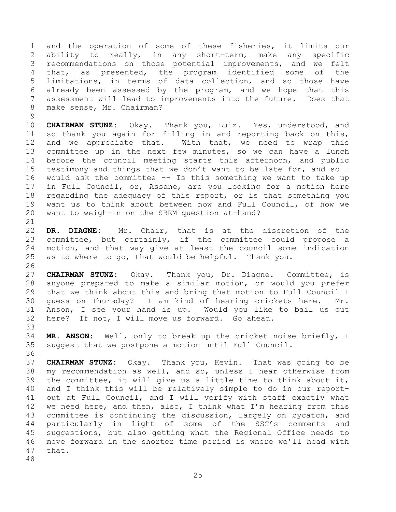and the operation of some of these fisheries, it limits our ability to really, in any short-term, make any specific recommendations on those potential improvements, and we felt that, as presented, the program identified some of the limitations, in terms of data collection, and so those have already been assessed by the program, and we hope that this assessment will lead to improvements into the future. Does that make sense, Mr. Chairman?

 **CHAIRMAN STUNZ:** Okay. Thank you, Luiz. Yes, understood, and so thank you again for filling in and reporting back on this, and we appreciate that. With that, we need to wrap this committee up in the next few minutes, so we can have a lunch before the council meeting starts this afternoon, and public testimony and things that we don't want to be late for, and so I would ask the committee -- Is this something we want to take up in Full Council, or, Assane, are you looking for a motion here regarding the adequacy of this report, or is that something you want us to think about between now and Full Council, of how we want to weigh-in on the SBRM question at-hand?

 **DR. DIAGNE:** Mr. Chair, that is at the discretion of the committee, but certainly, if the committee could propose a motion, and that way give at least the council some indication as to where to go, that would be helpful. Thank you.

 **CHAIRMAN STUNZ:** Okay. Thank you, Dr. Diagne. Committee, is anyone prepared to make a similar motion, or would you prefer that we think about this and bring that motion to Full Council I guess on Thursday? I am kind of hearing crickets here. Mr. Anson, I see your hand is up. Would you like to bail us out here? If not, I will move us forward. Go ahead. 

 **MR. ANSON:** Well, only to break up the cricket noise briefly, I suggest that we postpone a motion until Full Council. 

 **CHAIRMAN STUNZ:** Okay. Thank you, Kevin. That was going to be my recommendation as well, and so, unless I hear otherwise from the committee, it will give us a little time to think about it, and I think this will be relatively simple to do in our report- out at Full Council, and I will verify with staff exactly what we need here, and then, also, I think what I'm hearing from this committee is continuing the discussion, largely on bycatch, and particularly in light of some of the SSC's comments and suggestions, but also getting what the Regional Office needs to move forward in the shorter time period is where we'll head with that.